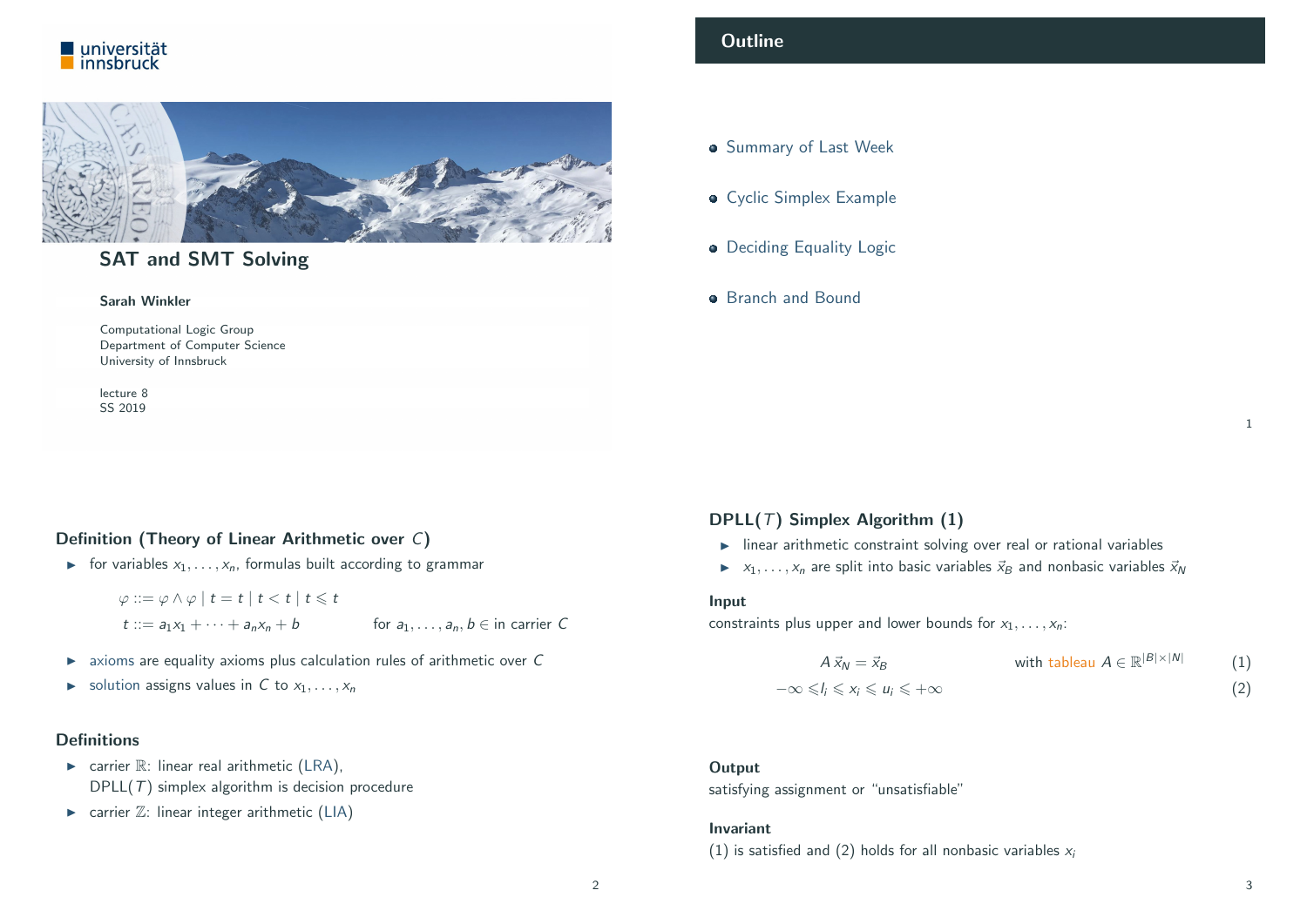



## SAT and SMT Solving

#### Sarah Winkler

Computational Logic Group Department of Computer Science University of Innsbruck

lecture 8 SS 2019

## <span id="page-0-0"></span>Definition (Theory of Linear Arithmetic over C)

For variables  $x_1, \ldots, x_n$ , formulas built according to grammar

 $\varphi ::= \varphi \wedge \varphi \mid t = t \mid t < t \mid t \leq t$  $t := a_1x_1 + \cdots + a_nx_n + b$  for  $a_1, \ldots, a_n, b \in \mathfrak{in}$  carrier C

- $\triangleright$  axioms are equality axioms plus calculation rules of arithmetic over C
- $\triangleright$  solution [assigns v](#page-1-0)alues in C to  $x_1, \ldots, x_n$

#### [Definitions](http://cl-informatik.uibk.ac.at/teaching/ss19/satsmt)

- $\triangleright$  carrier  $\mathbb{R}$ : linear real arithmetic (LRA),  $DPLL(T)$  $DPLL(T)$  simplex algorithm is decision procedure
- $\triangleright$  carrier  $\mathbb{Z}$ [: linear int](http://cl-informatik.uibk.ac.at/)[eger](http://informatik.uibk.ac.at/) arithmetic (LIA)

## **Outline**

- **Summary of Last Week**
- **Cyclic Simplex Example**
- Deciding Equality Logic
- **Branch and Bound**

## DPLL( $T$ ) Simplex Algorithm (1)

- $\blacktriangleright$  linear arithmetic constraint solving over real or rational variables
- $\triangleright$   $x_1, \ldots, x_n$  are split into basic variables  $\vec{x}_B$  and nonbasic variables  $\vec{x}_N$

#### Input

constraints plus upper and lower bounds for  $x_1, \ldots, x_n$ :

$$
A\,\vec{x}_N = \vec{x}_B \qquad \text{with tableau } A \in \mathbb{R}^{|B| \times |N|} \qquad (1)
$$
  

$$
-\infty \leq l_i \leq x_i \leq u_i \leq +\infty \qquad (2)
$$

#### **Output**

satisfying assignment or "unsatisfiable"

#### Invariant

(1) is satisfied and (2) holds for all nonbasic variables  $x_i$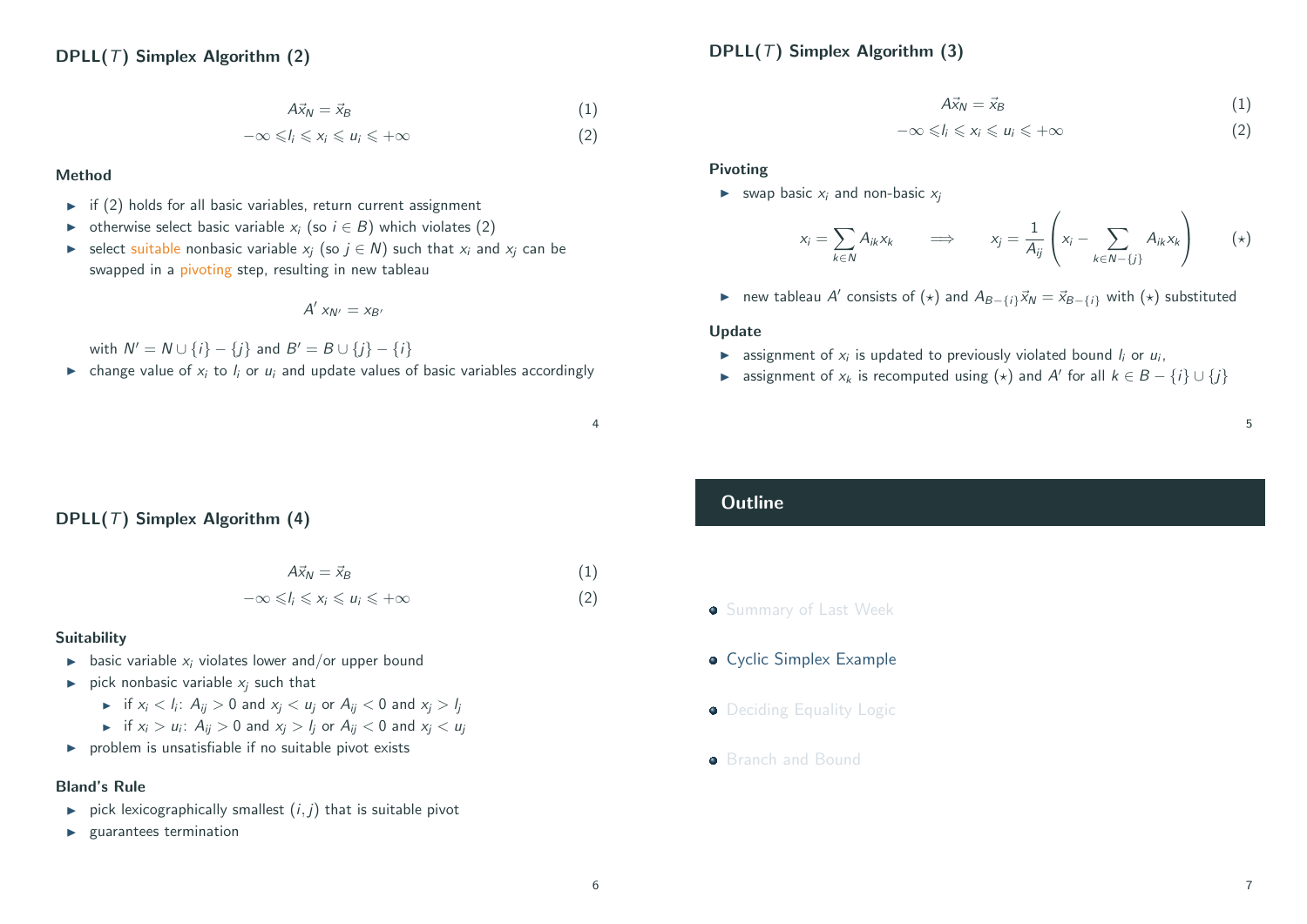## DPLL( $T$ ) Simplex Algorithm (3)

$$
A\vec{x}_N = \vec{x}_B \tag{1}
$$

$$
-\infty \leq l_i \leq x_i \leq u_i \leq +\infty
$$
 (2)

#### Method

- $\triangleright$  if (2) holds for all basic variables, return current assignment
- $\triangleright$  otherwise select basic variable  $x_i$  (so  $i \in B$ ) which violates (2)
- $\triangleright$  select suitable nonbasic variable  $x_i$  (so  $j \in \mathbb{N}$ ) such that  $x_i$  and  $x_i$  can be swapped in a pivoting step, resulting in new tableau

$$
A'\;x_{N'}=x_{B'}
$$

with  $N' = N \cup \{i\} - \{j\}$  and  $B' = B \cup \{j\} - \{i\}$ 

**In the change value of**  $x_i$  **to**  $l_i$  **or**  $u_i$  **and update values of basic variables accordingly** 

## $A\vec{x}_N = \vec{x}_B$  (1)

$$
-\infty \leq l_i \leq x_i \leq u_i \leq +\infty
$$
 (2)

#### Pivoting

 $\triangleright$  swap basic  $x_i$  and non-basic  $x_i$ 

$$
x_i = \sum_{k \in \mathbb{N}} A_{ik} x_k \qquad \Longrightarrow \qquad x_j = \frac{1}{A_{ij}} \left( x_i - \sum_{k \in \mathbb{N} - \{j\}} A_{ik} x_k \right) \qquad (*)
$$

► new tableau A' consists of  $(\star)$  and  $A_{B-\{i\}}\vec{x}_N = \vec{x}_{B-\{i\}}$  with  $(\star)$  substituted

#### Update

- $\blacktriangleright$  assignment of  $x_i$  is updated to previously violated bound  $l_i$  or  $u_i$ ,
- **►** assignment of  $x_k$  is recomputed using  $(\star)$  and A' for all  $k \in B \{i\} \cup \{j\}$

#### 5

## <span id="page-1-0"></span>DPLL( $T$ ) Simplex Algorithm (4)

$$
A\vec{x}_N = \vec{x}_B \tag{1}
$$

$$
-\infty \leq l_i \leq x_i \leq u_i \leq +\infty
$$
 (2)

#### [Suitability](#page-0-0)

- $\blacktriangleright$  basic variable  $x_i$  violates lower and/or upper bound
- $\triangleright$  [pick nonbasic var](#page-1-0)iable  $x_i$  such that
	- $\blacktriangleright$  if  $x_i < l_i$ :  $A_{ij} > 0$  and  $x_j < u_j$  or  $A_{ij} < 0$  and  $x_j > l_j$
	- $\blacktriangleright$  if  $x_i > u_i$  $x_i > u_i$  $x_i > u_i$ :  $A_{ij} > 0$  and  $x_j > l_j$  or  $A_{ij} < 0$  and  $x_j < u_j$
- $\triangleright$  problem is unsatisfiable if no suitable pivot exists

#### [Bland's Rule](#page-4-0)

- $\triangleright$  pick lexicographically smallest  $(i, j)$  that is suitable pivot
- $\blacktriangleright$  guarantees termination

## **Outline**

- **Summary of Last Week**
- **Cyclic Simplex Example**
- Deciding Equality Logic
- **Branch and Bound**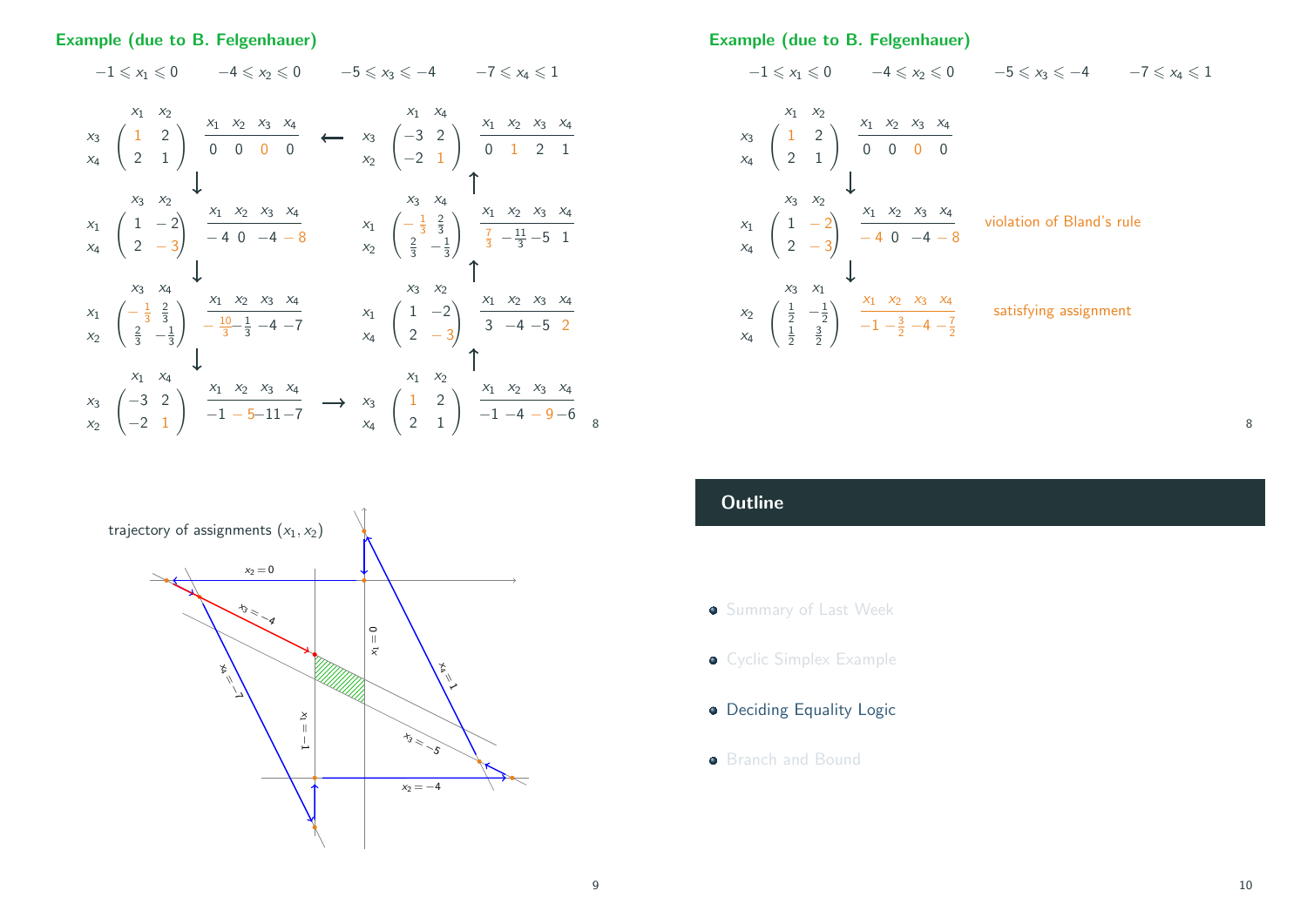#### Example (due to B. Felgenhauer)

## $-1 \leq x_1 \leq 0$   $-4 \leq x_2 \leq 0$   $-5 \leq x_3 \leq -4$   $-7 \leq x_4 \leq 1$

$$
x_{3}
$$
\n
$$
x_{4}
$$
\n
$$
\begin{pmatrix}\n1 & 2 \\
2 & 1\n\end{pmatrix}
$$
\n
$$
\begin{pmatrix}\nx_{1} & x_{2} & x_{3} & x_{4} \\
0 & 0 & 0 & 0\n\end{pmatrix}
$$
\n
$$
x_{5}
$$
\n
$$
\begin{pmatrix}\n1 & 2 \\
2 & 1\n\end{pmatrix}
$$
\n
$$
\begin{pmatrix}\nx_{1} & x_{2} & x_{3} & x_{4} \\
0 & 0 & 0 & 0\n\end{pmatrix}
$$
\n
$$
x_{6}
$$
\n
$$
x_{7}
$$
\n
$$
\begin{pmatrix}\n1 & -2 \\
2 & -3\n\end{pmatrix}
$$
\n
$$
\begin{pmatrix}\nx_{1} & x_{2} & x_{3} & x_{4} \\
-4 & 0 & -4 & -8\n\end{pmatrix}
$$
\n
$$
x_{8}
$$
\n
$$
x_{9}
$$
\n
$$
x_{1}
$$
\n
$$
\begin{pmatrix}\n-\frac{1}{3} & \frac{2}{3} \\
\frac{2}{3} & -\frac{1}{3}\n\end{pmatrix}
$$
\n
$$
\begin{pmatrix}\nx_{1} & x_{2} & x_{3} & x_{4} \\
-1 & 0 & -4 & -8\n\end{pmatrix}
$$
\n
$$
x_{8}
$$
\n
$$
x_{9}
$$
\n
$$
x_{1}
$$
\n
$$
\begin{pmatrix}\n-\frac{1}{3} & \frac{2}{3} \\
\frac{2}{3} & -\frac{1}{3}\n\end{pmatrix}
$$
\n
$$
x_{1}
$$
\n
$$
x_{2}
$$
\n
$$
x_{3}
$$
\n
$$
x_{4}
$$
\n
$$
x_{5}
$$
\n
$$
x_{6}
$$
\n
$$
x_{7}
$$
\n
$$
x_{8}
$$
\n
$$
x_{9}
$$
\n
$$
x_{1}
$$
\n
$$
x_{1}
$$
\n
$$
x_{1}
$$
\n
$$
x_{2}
$$
\n
$$
x_{3}
$$
\n
$$
x_{4}
$$
\n
$$
x_{5}
$$
\n
$$
x
$$

<span id="page-2-0"></span>

Example (due to B. Felgenhauer)



## **Outline**

- **Summary of Last Week**
- **Cyclic Simplex Example**
- Deciding Equality Logic
- **Branch and Bound**

8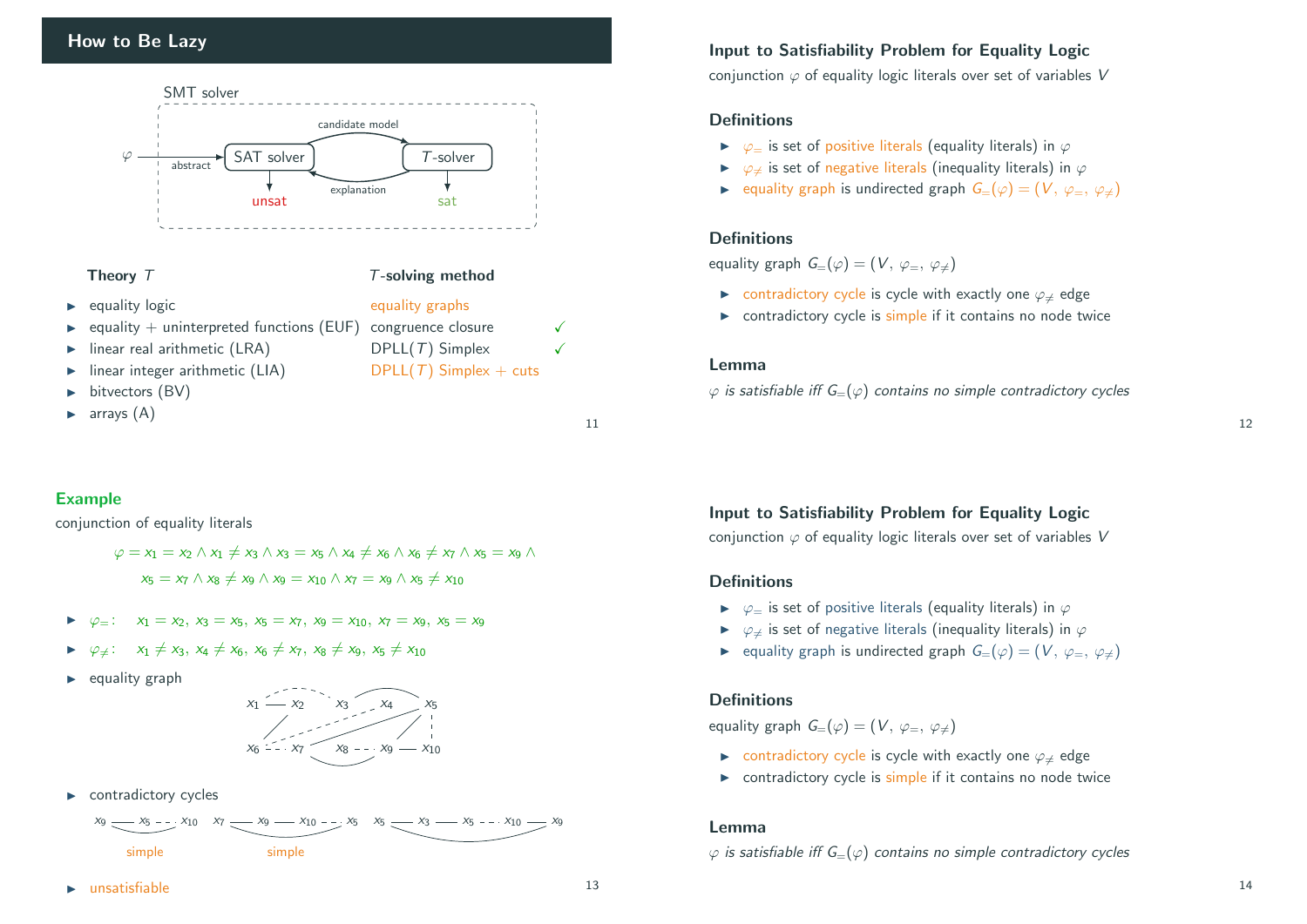

#### Theory  $T$  T-solving method

- ▶ equality logic equality graphs
- equality + uninterpreted functions (EUF) congruence closure
- $I$  linear real arithmetic (LRA) DPLL(T) Simplex  $\checkmark$
- Iinear integer arithmetic (LIA) DPLL(T) Simplex + cuts
- bitvectors (BV)
- $\blacktriangleright$  arrays  $(A)$

## Example

conjunction of equality literals

$$
\varphi = x_1 = x_2 \land x_1 \neq x_3 \land x_3 = x_5 \land x_4 \neq x_6 \land x_6 \neq x_7 \land x_5 = x_9 \land x_5 = x_7 \land x_8 \neq x_9 \land x_9 = x_{10} \land x_7 = x_9 \land x_5 \neq x_{10}
$$

- $\triangleright \varphi_-\colon x_1 = x_2, x_3 = x_5, x_5 = x_7, x_9 = x_{10}, x_7 = x_9, x_5 = x_9$
- $\triangleright \varphi_{\neq}$ :  $x_1 \neq x_3$ ,  $x_4 \neq x_6$ ,  $x_6 \neq x_7$ ,  $x_8 \neq x_9$ ,  $x_5 \neq x_{10}$
- $\blacktriangleright$  equality graph



 $\blacktriangleright$  contradictory cycles



Input to Satisfiability Problem for Equality Logic

conjunction  $\varphi$  of equality logic literals over set of variables V

#### **Definitions**

- $\triangleright \heartsuit$  is set of positive literals (equality literals) in  $\varphi$
- $\triangleright \varphi_{\pm}$  is set of negative literals (inequality literals) in  $\varphi$
- ► equality graph is undirected graph  $G=(\varphi)=(V, \varphi_{=}, \varphi_{\neq})$

#### **Definitions**

equality graph  $G=(\varphi)=(V, \varphi_-, \varphi_+)$ 

- $\triangleright$  contradictory cycle is cycle with exactly one  $\varphi_{\neq}$  edge
- $\triangleright$  contradictory cycle is simple if it contains no node twice

#### Lemma

 $\varphi$  is satisfiable iff  $G=(\varphi)$  contains no simple contradictory cycles

Input to Satisfiability Problem for Equality Logic

conjunction  $\varphi$  of equality logic literals over set of variables V

#### **Definitions**

- $\triangleright \varphi =$  is set of positive literals (equality literals) in  $\varphi$
- $\triangleright \varphi_{\pm}$  is set of negative literals (inequality literals) in  $\varphi$
- ► equality graph is undirected graph  $G=(\varphi)=(V, \varphi_-, \varphi_+)$

#### **Definitions**

equality graph  $G=(\varphi)=(V, \varphi_{=}, \varphi_{\neq})$ 

- ► contradictory cycle is cycle with exactly one  $\varphi_{\neq}$  edge
- $\triangleright$  contradictory cycle is simple if it contains no node twice

#### Lemma

 $\varphi$  is satisfiable iff  $G=(\varphi)$  contains no simple contradictory cycles

 $\blacktriangleright$  unsatisfiable 13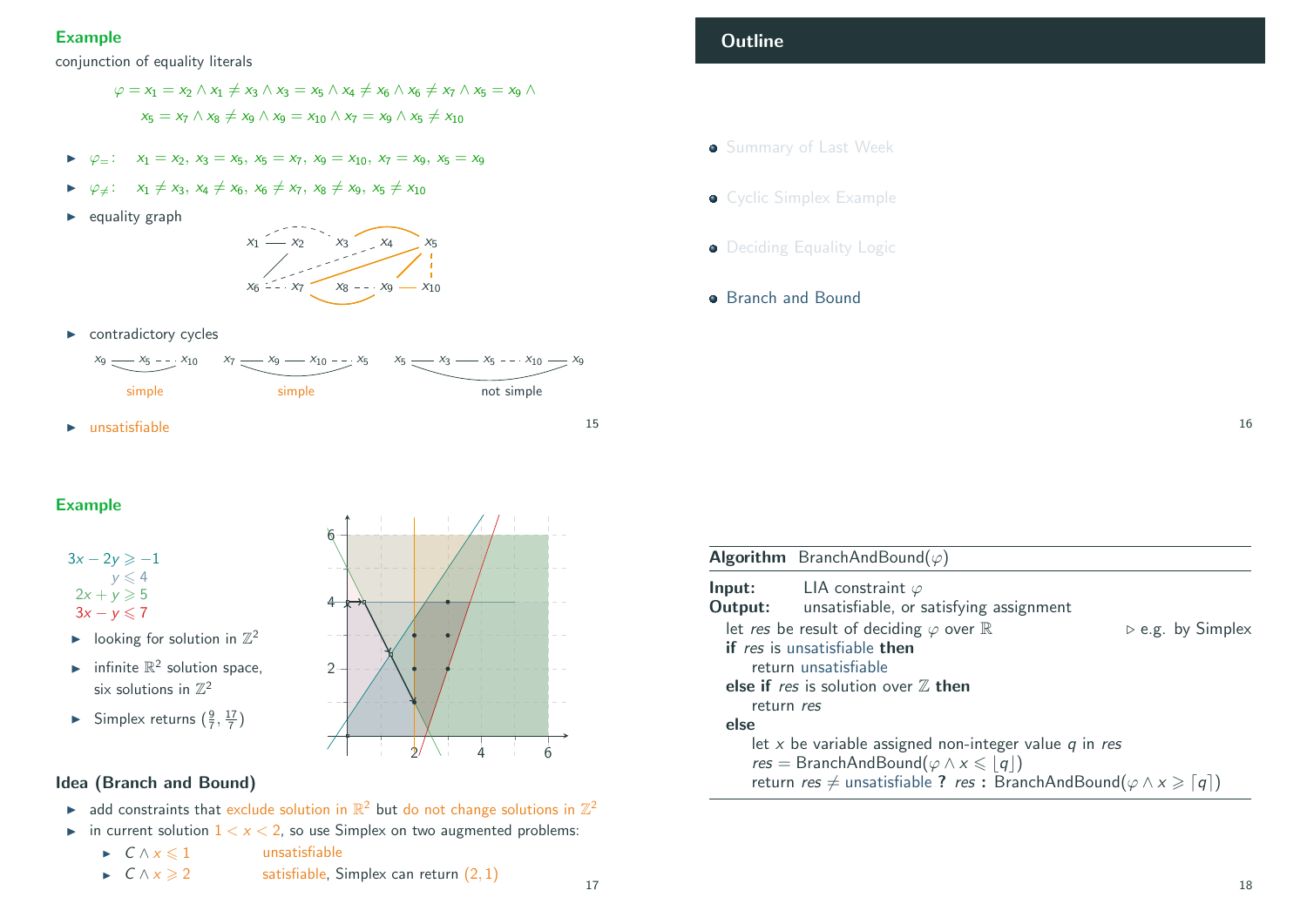## Example

conjunction of equality literals

$$
\varphi = x_1 = x_2 \wedge x_1 \neq x_3 \wedge x_3 = x_5 \wedge x_4 \neq x_6 \wedge x_6 \neq x_7 \wedge x_5 = x_9 \wedge x_5 = x_7 \wedge x_8 \neq x_9 \wedge x_9 = x_{10} \wedge x_7 = x_9 \wedge x_5 \neq x_{10}
$$

- $\triangleright \varphi =$  :  $x_1 = x_2, x_3 = x_5, x_5 = x_7, x_9 = x_{10}, x_7 = x_9, x_5 = x_9$
- $\varphi_{\pm}$ :  $x_1 \neq x_3$ ,  $x_4 \neq x_6$ ,  $x_6 \neq x_7$ ,  $x_8 \neq x_9$ ,  $x_5 \neq x_{10}$
- $\blacktriangleright$  equality graph



 $\triangleright$  contradictory cycles



- **Outline**
- **Summary of Last Week**
- **Cyclic Simplex Example**
- Deciding Equality Logic
- **Branch and Bound**

<span id="page-4-0"></span>Example



- $\blacktriangleright$  [looking for solut](#page-0-0)ion in  $\mathbb{Z}^2$
- infinite  $\mathbb{R}^2$  solution space, [six solutions in](#page-1-0)  $\mathbb{Z}^2$
- [Simplex returns](#page-2-0)  $(\frac{9}{7}, \frac{17}{7})$

# $2^{\frac{1}{2}}$  1  $4$  1 6  $2 -$ 4 6

## [Idea \(Branch a](#page-4-0)nd Bound)

- ightharpoontraints that exclude solution in  $\mathbb{R}^2$  but do not change solutions in  $\mathbb{Z}^2$
- in current solution  $1 < x < 2$ , so use Simplex on two augmented problems:
	- $\Gamma$   $\wedge x \leq 1$  unsatisfiable
	- $\triangleright$   $C \wedge x \geqslant 2$  satisfiable, Simplex can return (2, 1)

Algorithm BranchAndBound( $\varphi$ ) **Input:** LIA constraint  $\varphi$ Output: unsatisfiable, or satisfying assignment let res be result of deciding  $\varphi$  over  $\mathbb R$  .  $\rho$  e.g. by Simplex if res is unsatisfiable then return unsatisfiable else if res is solution over  $Z$  then return res else let x be variable assigned non-integer value  $q$  in res  $res = BranchAndBound(\varphi \wedge x \leq |q|)$ return res  $\neq$  unsatisfiable ? res : BranchAndBound( $\varphi \wedge x \geq \lceil q \rceil$ )